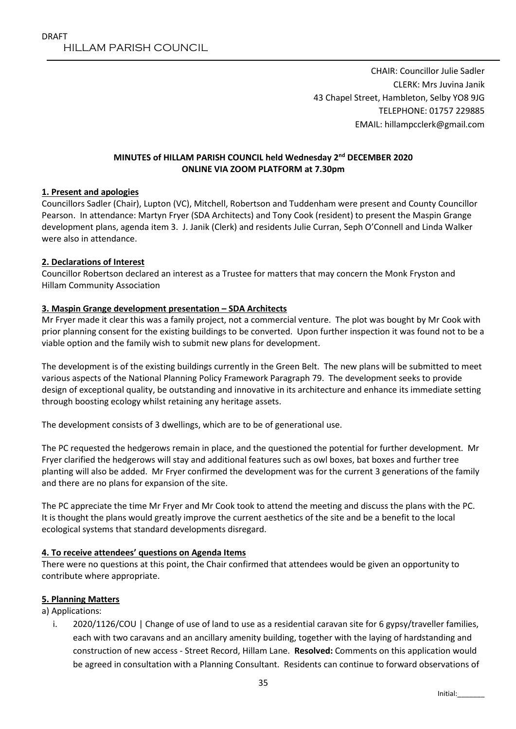CHAIR: Councillor Julie Sadler CLERK: Mrs Juvina Janik 43 Chapel Street, Hambleton, Selby YO8 9JG TELEPHONE: 01757 229885 EMAIL: hillampcclerk@gmail.com

### **MINUTES of HILLAM PARISH COUNCIL held Wednesday 2 nd DECEMBER 2020 ONLINE VIA ZOOM PLATFORM at 7.30pm**

### **1. Present and apologies**

Councillors Sadler (Chair), Lupton (VC), Mitchell, Robertson and Tuddenham were present and County Councillor Pearson. In attendance: Martyn Fryer (SDA Architects) and Tony Cook (resident) to present the Maspin Grange development plans, agenda item 3. J. Janik (Clerk) and residents Julie Curran, Seph O'Connell and Linda Walker were also in attendance.

### **2. Declarations of Interest**

Councillor Robertson declared an interest as a Trustee for matters that may concern the Monk Fryston and Hillam Community Association

### **3. Maspin Grange development presentation – SDA Architects**

Mr Fryer made it clear this was a family project, not a commercial venture. The plot was bought by Mr Cook with prior planning consent for the existing buildings to be converted. Upon further inspection it was found not to be a viable option and the family wish to submit new plans for development.

The development is of the existing buildings currently in the Green Belt. The new plans will be submitted to meet various aspects of the National Planning Policy Framework Paragraph 79. The development seeks to provide design of exceptional quality, be outstanding and innovative in its architecture and enhance its immediate setting through boosting ecology whilst retaining any heritage assets.

The development consists of 3 dwellings, which are to be of generational use.

The PC requested the hedgerows remain in place, and the questioned the potential for further development. Mr Fryer clarified the hedgerows will stay and additional features such as owl boxes, bat boxes and further tree planting will also be added. Mr Fryer confirmed the development was for the current 3 generations of the family and there are no plans for expansion of the site.

The PC appreciate the time Mr Fryer and Mr Cook took to attend the meeting and discuss the plans with the PC. It is thought the plans would greatly improve the current aesthetics of the site and be a benefit to the local ecological systems that standard developments disregard.

### **4. To receive attendees' questions on Agenda Items**

There were no questions at this point, the Chair confirmed that attendees would be given an opportunity to contribute where appropriate.

### **5. Planning Matters**

a) Applications:

i. 2020/1126/COU | Change of use of land to use as a residential caravan site for 6 gypsy/traveller families, each with two caravans and an ancillary amenity building, together with the laying of hardstanding and construction of new access - Street Record, Hillam Lane. **Resolved:** Comments on this application would be agreed in consultation with a Planning Consultant. Residents can continue to forward observations of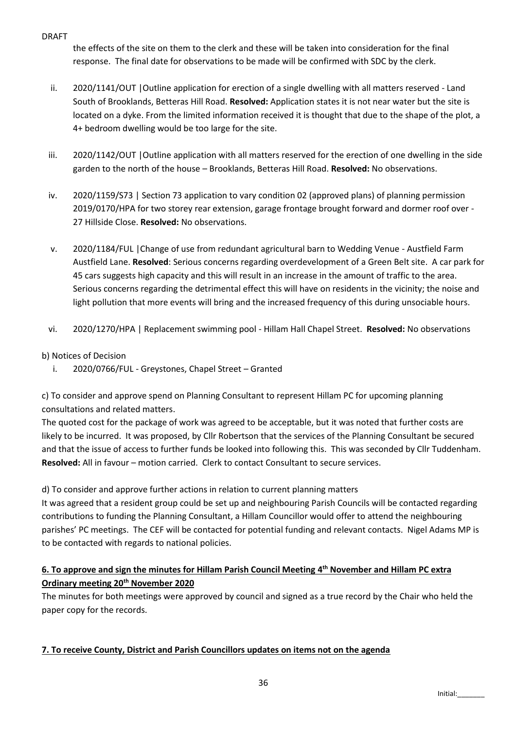### DRAFT

the effects of the site on them to the clerk and these will be taken into consideration for the final response. The final date for observations to be made will be confirmed with SDC by the clerk.

- ii. 2020/1141/OUT |Outline application for erection of a single dwelling with all matters reserved Land South of Brooklands, Betteras Hill Road. **Resolved:** Application states it is not near water but the site is located on a dyke. From the limited information received it is thought that due to the shape of the plot, a 4+ bedroom dwelling would be too large for the site.
- iii. 2020/1142/OUT |Outline application with all matters reserved for the erection of one dwelling in the side garden to the north of the house – Brooklands, Betteras Hill Road. **Resolved:** No observations.
- iv. 2020/1159/S73 | Section 73 application to vary condition 02 (approved plans) of planning permission 2019/0170/HPA for two storey rear extension, garage frontage brought forward and dormer roof over - 27 Hillside Close. **Resolved:** No observations.
- v. 2020/1184/FUL |Change of use from redundant agricultural barn to Wedding Venue Austfield Farm Austfield Lane. **Resolved**: Serious concerns regarding overdevelopment of a Green Belt site. A car park for 45 cars suggests high capacity and this will result in an increase in the amount of traffic to the area. Serious concerns regarding the detrimental effect this will have on residents in the vicinity; the noise and light pollution that more events will bring and the increased frequency of this during unsociable hours.
- vi. 2020/1270/HPA | Replacement swimming pool Hillam Hall Chapel Street. **Resolved:** No observations

# b) Notices of Decision

i. 2020/0766/FUL - Greystones, Chapel Street – Granted

c) To consider and approve spend on Planning Consultant to represent Hillam PC for upcoming planning consultations and related matters.

The quoted cost for the package of work was agreed to be acceptable, but it was noted that further costs are likely to be incurred. It was proposed, by Cllr Robertson that the services of the Planning Consultant be secured and that the issue of access to further funds be looked into following this. This was seconded by Cllr Tuddenham. **Resolved:** All in favour – motion carried. Clerk to contact Consultant to secure services.

d) To consider and approve further actions in relation to current planning matters

It was agreed that a resident group could be set up and neighbouring Parish Councils will be contacted regarding contributions to funding the Planning Consultant, a Hillam Councillor would offer to attend the neighbouring parishes' PC meetings. The CEF will be contacted for potential funding and relevant contacts. Nigel Adams MP is to be contacted with regards to national policies.

# **6. To approve and sign the minutes for Hillam Parish Council Meeting 4 th November and Hillam PC extra Ordinary meeting 20th November 2020**

The minutes for both meetings were approved by council and signed as a true record by the Chair who held the paper copy for the records.

# **7. To receive County, District and Parish Councillors updates on items not on the agenda**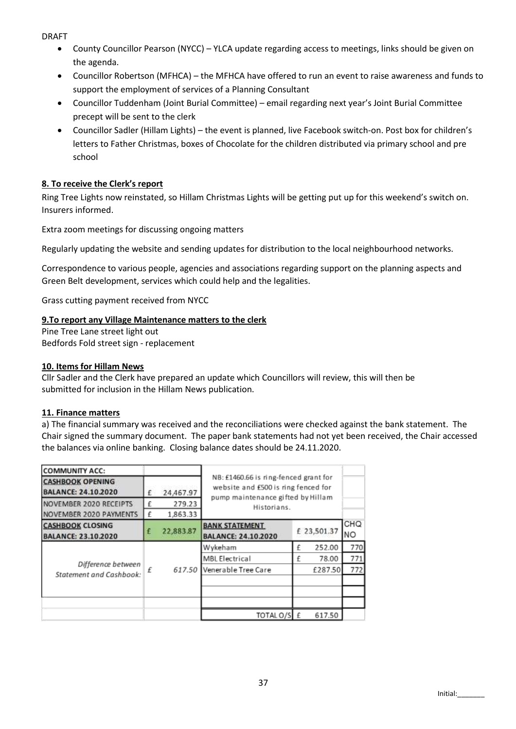DRAFT

- County Councillor Pearson (NYCC) YLCA update regarding access to meetings, links should be given on the agenda.
- Councillor Robertson (MFHCA) the MFHCA have offered to run an event to raise awareness and funds to support the employment of services of a Planning Consultant
- Councillor Tuddenham (Joint Burial Committee) email regarding next year's Joint Burial Committee precept will be sent to the clerk
- Councillor Sadler (Hillam Lights) the event is planned, live Facebook switch-on. Post box for children's letters to Father Christmas, boxes of Chocolate for the children distributed via primary school and pre school

# **8. To receive the Clerk's report**

Ring Tree Lights now reinstated, so Hillam Christmas Lights will be getting put up for this weekend's switch on. Insurers informed.

Extra zoom meetings for discussing ongoing matters

Regularly updating the website and sending updates for distribution to the local neighbourhood networks.

Correspondence to various people, agencies and associations regarding support on the planning aspects and Green Belt development, services which could help and the legalities.

Grass cutting payment received from NYCC

## **9.To report any Village Maintenance matters to the clerk**

Pine Tree Lane street light out Bedfords Fold street sign - replacement

## **10. Items for Hillam News**

Cllr Sadler and the Clerk have prepared an update which Councillors will review, this will then be submitted for inclusion in the Hillam News publication.

### **11. Finance matters**

a) The financial summary was received and the reconciliations were checked against the bank statement. The Chair signed the summary document. The paper bank statements had not yet been received, the Chair accessed the balances via online banking. Closing balance dates should be 24.11.2020.

| <b>COMMUNITY ACC:</b>                                 |   |           |                                                                                                                   |  |             |                  |  |
|-------------------------------------------------------|---|-----------|-------------------------------------------------------------------------------------------------------------------|--|-------------|------------------|--|
| <b>CASHBOOK OPENING</b><br><b>BALANCE: 24.10.2020</b> | £ | 24,467.97 | NB: £1460.66 is ring-fenced grant for<br>website and £500 is ring fenced for<br>pump maintenance gifted by Hillam |  |             |                  |  |
| NOVEMBER 2020 RECEIPTS                                |   | 279.23    | Historians.                                                                                                       |  |             |                  |  |
| NOVEMBER 2020 PAYMENTS                                |   | 1,863.33  |                                                                                                                   |  |             |                  |  |
| <b>CASHBOOK CLOSING</b><br><b>BALANCE: 23.10.2020</b> | £ | 22,883.87 | <b>BANK STATEMENT</b><br>BALANCE: 24.10.2020                                                                      |  | £ 23,501.37 | CHQ<br><b>NO</b> |  |
|                                                       |   |           | Wykeham                                                                                                           |  | 252.00      | 770              |  |
| Difference between<br>Statement and Cashbook:         | £ | 617.50    | <b>MBL Electrical</b>                                                                                             |  | 78.00       | 771              |  |
|                                                       |   |           | Venerable Tree Care                                                                                               |  | £287.50     | 772              |  |
|                                                       |   |           |                                                                                                                   |  |             |                  |  |
|                                                       |   |           | TOTAL O/S E                                                                                                       |  | 617.50      |                  |  |